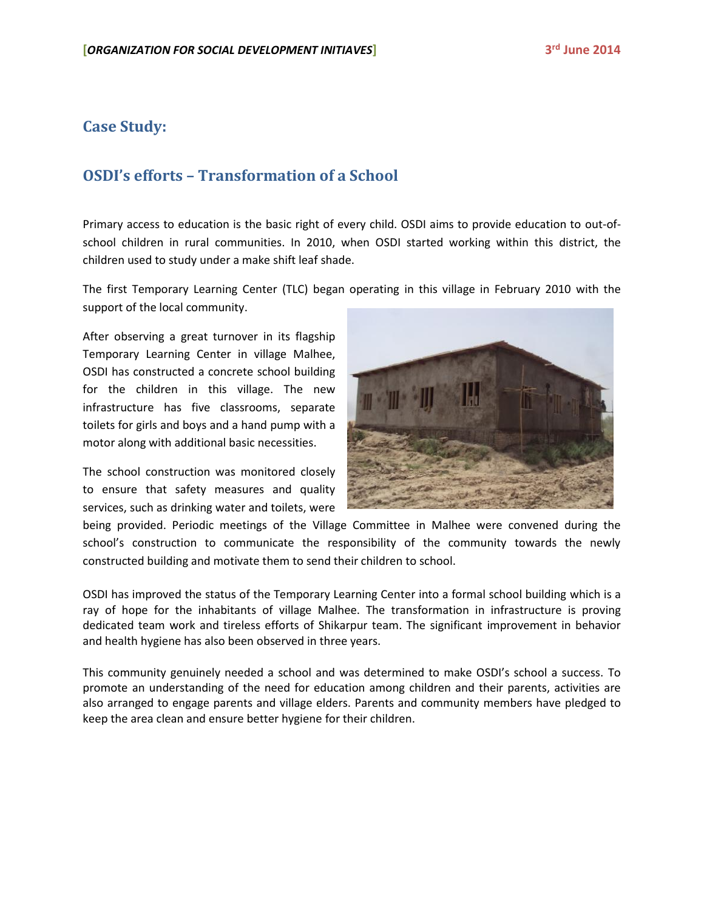## **Case Study:**

## **OSDI's efforts – Transformation of a School**

Primary access to education is the basic right of every child. OSDI aims to provide education to out-ofschool children in rural communities. In 2010, when OSDI started working within this district, the children used to study under a make shift leaf shade.

The first Temporary Learning Center (TLC) began operating in this village in February 2010 with the support of the local community.

After observing a great turnover in its flagship Temporary Learning Center in village Malhee, OSDI has constructed a concrete school building for the children in this village. The new infrastructure has five classrooms, separate toilets for girls and boys and a hand pump with a motor along with additional basic necessities.

The school construction was monitored closely to ensure that safety measures and quality services, such as drinking water and toilets, were



being provided. Periodic meetings of the Village Committee in Malhee were convened during the school's construction to communicate the responsibility of the community towards the newly constructed building and motivate them to send their children to school.

OSDI has improved the status of the Temporary Learning Center into a formal school building which is a ray of hope for the inhabitants of village Malhee. The transformation in infrastructure is proving dedicated team work and tireless efforts of Shikarpur team. The significant improvement in behavior and health hygiene has also been observed in three years.

This community genuinely needed a school and was determined to make OSDI's school a success. To promote an understanding of the need for education among children and their parents, activities are also arranged to engage parents and village elders. Parents and community members have pledged to keep the area clean and ensure better hygiene for their children.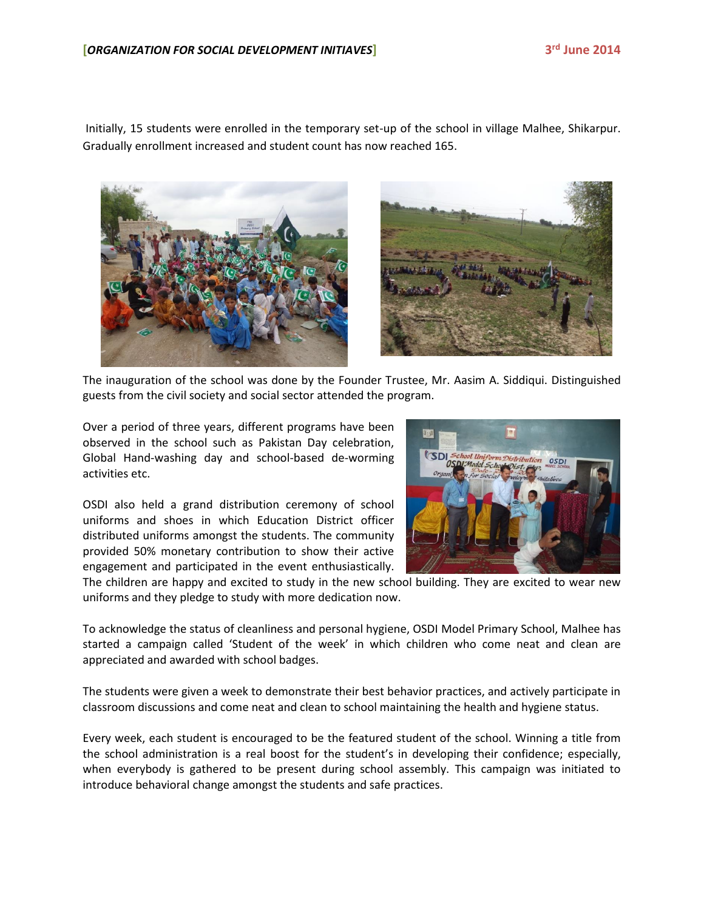Initially, 15 students were enrolled in the temporary set-up of the school in village Malhee, Shikarpur. Gradually enrollment increased and student count has now reached 165.





The inauguration of the school was done by the Founder Trustee, Mr. Aasim A. Siddiqui. Distinguished guests from the civil society and social sector attended the program.

Over a period of three years, different programs have been observed in the school such as Pakistan Day celebration, Global Hand-washing day and school-based de-worming activities etc.

OSDI also held a grand distribution ceremony of school uniforms and shoes in which Education District officer distributed uniforms amongst the students. The community provided 50% monetary contribution to show their active engagement and participated in the event enthusiastically.



The children are happy and excited to study in the new school building. They are excited to wear new uniforms and they pledge to study with more dedication now.

To acknowledge the status of cleanliness and personal hygiene, OSDI Model Primary School, Malhee has started a campaign called 'Student of the week' in which children who come neat and clean are appreciated and awarded with school badges.

The students were given a week to demonstrate their best behavior practices, and actively participate in classroom discussions and come neat and clean to school maintaining the health and hygiene status.

Every week, each student is encouraged to be the featured student of the school. Winning a title from the school administration is a real boost for the student's in developing their confidence; especially, when everybody is gathered to be present during school assembly. This campaign was initiated to introduce behavioral change amongst the students and safe practices.